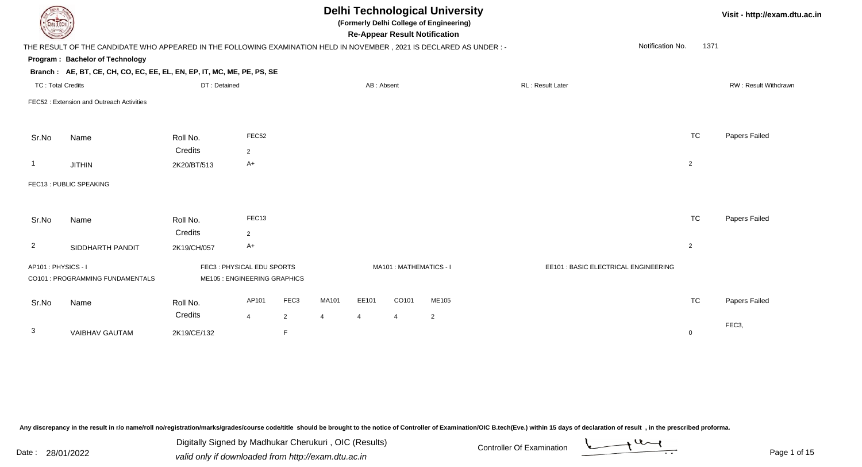| <b>DELTECH</b>           |                                                                                                                      |                           |                              |                  |                |            |                        | <b>Delhi Technological University</b><br>(Formerly Delhi College of Engineering)<br><b>Re-Appear Result Notification</b> |                  |                                      |                  |                | Visit - http://exam.dt |
|--------------------------|----------------------------------------------------------------------------------------------------------------------|---------------------------|------------------------------|------------------|----------------|------------|------------------------|--------------------------------------------------------------------------------------------------------------------------|------------------|--------------------------------------|------------------|----------------|------------------------|
|                          | THE RESULT OF THE CANDIDATE WHO APPEARED IN THE FOLLOWING EXAMINATION HELD IN NOVEMBER, 2021 IS DECLARED AS UNDER :- |                           |                              |                  |                |            |                        |                                                                                                                          |                  |                                      | Notification No. | 1371           |                        |
|                          | Program: Bachelor of Technology                                                                                      |                           |                              |                  |                |            |                        |                                                                                                                          |                  |                                      |                  |                |                        |
|                          | Branch: AE, BT, CE, CH, CO, EC, EE, EL, EN, EP, IT, MC, ME, PE, PS, SE                                               |                           |                              |                  |                |            |                        |                                                                                                                          |                  |                                      |                  |                |                        |
| <b>TC: Total Credits</b> |                                                                                                                      | DT: Detained              |                              |                  |                | AB: Absent |                        |                                                                                                                          | RL: Result Later |                                      |                  |                | RW: Result Withdrawn   |
|                          | FEC52 : Extension and Outreach Activities                                                                            |                           |                              |                  |                |            |                        |                                                                                                                          |                  |                                      |                  |                |                        |
|                          |                                                                                                                      |                           |                              |                  |                |            |                        |                                                                                                                          |                  |                                      |                  |                |                        |
| Sr.No                    | Name                                                                                                                 | Roll No.                  | FEC52                        |                  |                |            |                        |                                                                                                                          |                  |                                      |                  | <b>TC</b>      | Papers Failed          |
|                          |                                                                                                                      | Credits                   | $\overline{2}$               |                  |                |            |                        |                                                                                                                          |                  |                                      |                  |                |                        |
| -1                       | <b>JITHIN</b>                                                                                                        | 2K20/BT/513               | A+                           |                  |                |            |                        |                                                                                                                          |                  |                                      |                  | $\overline{c}$ |                        |
|                          | FEC13 : PUBLIC SPEAKING                                                                                              |                           |                              |                  |                |            |                        |                                                                                                                          |                  |                                      |                  |                |                        |
|                          |                                                                                                                      |                           |                              |                  |                |            |                        |                                                                                                                          |                  |                                      |                  |                |                        |
| Sr.No                    | Name                                                                                                                 | Roll No.                  | FEC13                        |                  |                |            |                        |                                                                                                                          |                  |                                      |                  | <b>TC</b>      | Papers Failed          |
|                          |                                                                                                                      | Credits                   | $\overline{2}$               |                  |                |            |                        |                                                                                                                          |                  |                                      |                  |                |                        |
| $\overline{2}$           | SIDDHARTH PANDIT                                                                                                     | 2K19/CH/057               | A+                           |                  |                |            |                        |                                                                                                                          |                  |                                      |                  | $\overline{2}$ |                        |
| AP101: PHYSICS - I       |                                                                                                                      | FEC3: PHYSICAL EDU SPORTS |                              |                  |                |            | MA101: MATHEMATICS - I |                                                                                                                          |                  | EE101 : BASIC ELECTRICAL ENGINEERING |                  |                |                        |
|                          | CO101 : PROGRAMMING FUNDAMENTALS                                                                                     |                           | ME105 : ENGINEERING GRAPHICS |                  |                |            |                        |                                                                                                                          |                  |                                      |                  |                |                        |
|                          |                                                                                                                      |                           |                              |                  |                |            |                        |                                                                                                                          |                  |                                      |                  |                |                        |
| Sr.No                    | Name                                                                                                                 | Roll No.                  | AP101                        | FEC <sub>3</sub> | MA101          | EE101      | CO101                  | ME105                                                                                                                    |                  |                                      |                  | <b>TC</b>      | Papers Failed          |
|                          |                                                                                                                      | Credits                   | $\overline{4}$               | $\overline{2}$   | $\overline{4}$ | 4          | 4                      | 2                                                                                                                        |                  |                                      |                  |                |                        |
| 3                        | <b>VAIBHAV GAUTAM</b>                                                                                                | 2K19/CE/132               |                              | F                |                |            |                        |                                                                                                                          |                  |                                      |                  | $\mathbf 0$    | FEC <sub>3</sub> ,     |
|                          |                                                                                                                      |                           |                              |                  |                |            |                        |                                                                                                                          |                  |                                      |                  |                |                        |

Digitally Signed by Madhukar Cherukuri, OIC (Results)<br>Date : 28/01/2022 valid only if downloaded from http://oxam.dtu.ac.in Digitally Signed by Madhukar Cherukuri , OIC (Results)valid only if downloaded from http://exam.dtu.ac.in

**Itu.ac.in**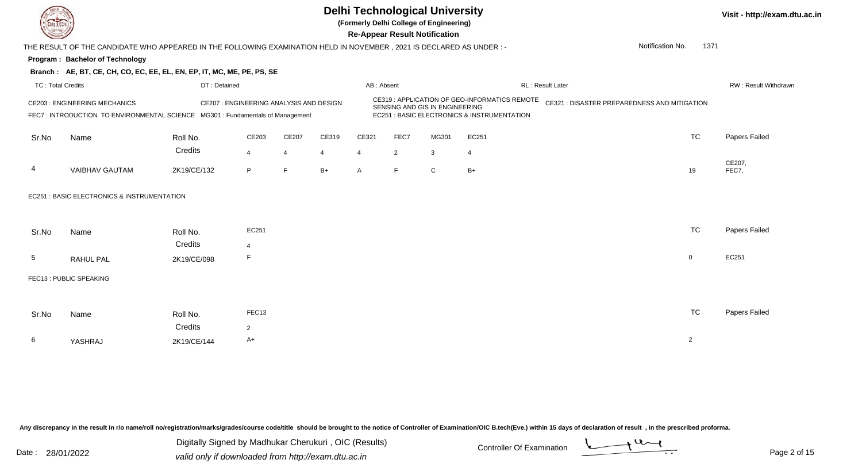

**Visit - http://exam.dtu.ac.in**

**(Formerly Delhi College of Engineering)**

**Re-Appear Result Notification**

Notification No.1371

**Program : Bachelor of Technology**

### **Branch : AE, BT, CE, CH, CO, EC, EE, EL, EN, EP, IT, MC, ME, PE, PS, SE**

| TC: Total Credits                                                                                                                                                |                | DT: Detained        |       |       |                                                                                                                                | AB: Absent |      |       |                                              | <b>RL: Result Later</b> | RW: Result Withdrawn |
|------------------------------------------------------------------------------------------------------------------------------------------------------------------|----------------|---------------------|-------|-------|--------------------------------------------------------------------------------------------------------------------------------|------------|------|-------|----------------------------------------------|-------------------------|----------------------|
| CE207 : ENGINEERING ANALYSIS AND DESIGN<br><b>CE203 : ENGINEERING MECHANICS</b><br>FEC7: INTRODUCTION TO ENVIRONMENTAL SCIENCE MG301: Fundamentals of Management |                |                     |       |       | CE319 : APPLICATION OF GEO-INFORMATICS REMOTE<br>SENSING AND GIS IN ENGINEERING<br>EC251 : BASIC ELECTRONICS & INSTRUMENTATION |            |      |       | CE321 : DISASTER PREPAREDNESS AND MITIGATION |                         |                      |
| Sr.No                                                                                                                                                            | Name           | Roll No.<br>Credits | CE203 | CE207 | CE319                                                                                                                          | CE321      | FEC7 | MG301 | EC251                                        | TC                      | <b>Papers Failed</b> |
| 4                                                                                                                                                                | VAIBHAV GAUTAM | 2K19/CE/132         |       |       | $B+$                                                                                                                           |            |      |       | B+                                           | 19                      | CE207,<br>FEC7.      |

#### EC251 : BASIC ELECTRONICS & INSTRUMENTATION

| Sr.No | Name      | Roll No.    | EC251 | <b>TC</b> | Papers Failed |
|-------|-----------|-------------|-------|-----------|---------------|
|       |           | Credits     | 4     |           |               |
| . ჯე  | RAHUL PAL | 2K19/CE/098 |       |           | EC251         |

#### FEC13 : PUBLIC SPEAKING

| Sr.No | Name    | Roll No.    | FEC13 | <b>TC</b> | Papers Failed |
|-------|---------|-------------|-------|-----------|---------------|
|       |         | Credits     |       |           |               |
| 6     | YASHRAJ | 2K19/CE/144 | A+    |           |               |

Any discrepancy in the result in r/o name/roll no/registration/marks/grades/course code/title should be brought to the notice of Controller of Examination/OIC B.tech(Eve.) within 15 days of declaration of result, in the pr

|       |                    | <b>OIC</b><br>∶ (Results)<br>ar Cherukur<br>Madhukar<br>sianed<br><b>WWW</b><br><i>D</i> igital' | Controller C<br>xaminatior |      |
|-------|--------------------|--------------------------------------------------------------------------------------------------|----------------------------|------|
| Date: | י ירחרי '<br>28/01 | $\mu$ http://<br>'/exam.<br>.dtu.ac.ır<br>only it downloaded trom<br>E VALIN CH<br>vunu          |                            | zan. |

THE RESULT OF THE CANDIDATE WHO APPEARED IN THE FOLLOWING EXAMINATION HELD IN NOVEMBER , 2021 IS DECLARED AS UNDER : -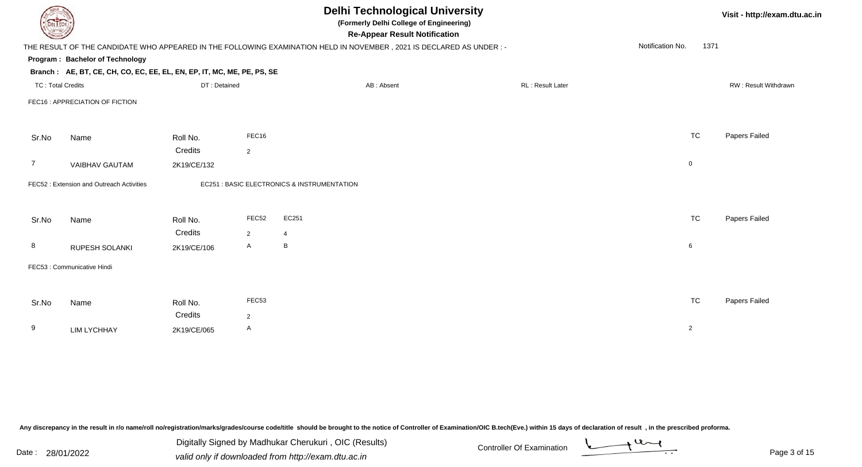| DEL TECH                 |                                                                        |              |                | <b>Delhi Technological University</b><br>(Formerly Delhi College of Engineering)<br><b>Re-Appear Result Notification</b> |                  | Visit - http://exam.dtu.ac.in |                      |
|--------------------------|------------------------------------------------------------------------|--------------|----------------|--------------------------------------------------------------------------------------------------------------------------|------------------|-------------------------------|----------------------|
|                          |                                                                        |              |                | THE RESULT OF THE CANDIDATE WHO APPEARED IN THE FOLLOWING EXAMINATION HELD IN NOVEMBER, 2021 IS DECLARED AS UNDER :-     |                  | Notification No.<br>1371      |                      |
|                          | Program: Bachelor of Technology                                        |              |                |                                                                                                                          |                  |                               |                      |
|                          | Branch: AE, BT, CE, CH, CO, EC, EE, EL, EN, EP, IT, MC, ME, PE, PS, SE |              |                |                                                                                                                          |                  |                               |                      |
| <b>TC: Total Credits</b> |                                                                        | DT: Detained |                | AB: Absent                                                                                                               | RL: Result Later |                               | RW: Result Withdrawn |
|                          | FEC16 : APPRECIATION OF FICTION                                        |              |                |                                                                                                                          |                  |                               |                      |
| Sr.No                    | Name                                                                   | Roll No.     | FEC16          |                                                                                                                          |                  | <b>TC</b>                     | Papers Failed        |
|                          |                                                                        | Credits      | 2              |                                                                                                                          |                  |                               |                      |
| 7                        | <b>VAIBHAV GAUTAM</b>                                                  | 2K19/CE/132  |                |                                                                                                                          |                  | $\mathbf 0$                   |                      |
|                          | FEC52: Extension and Outreach Activities                               |              |                | EC251 : BASIC ELECTRONICS & INSTRUMENTATION                                                                              |                  |                               |                      |
| Sr.No                    | Name                                                                   | Roll No.     | FEC52          | EC251                                                                                                                    |                  | <b>TC</b>                     | Papers Failed        |
|                          |                                                                        | Credits      | $\overline{2}$ | $\overline{4}$                                                                                                           |                  |                               |                      |
| 8                        | RUPESH SOLANKI                                                         | 2K19/CE/106  | $\mathsf{A}$   | $\, {\bf B}$                                                                                                             |                  | 6                             |                      |
|                          | FEC53 : Communicative Hindi                                            |              |                |                                                                                                                          |                  |                               |                      |
|                          |                                                                        |              |                |                                                                                                                          |                  |                               |                      |
| Sr.No                    | Name                                                                   | Roll No.     | FEC53          |                                                                                                                          |                  | <b>TC</b>                     | Papers Failed        |
|                          |                                                                        | Credits      | 2              |                                                                                                                          |                  |                               |                      |
| 9                        | <b>LIM LYCHHAY</b>                                                     | 2K19/CE/065  | A              |                                                                                                                          |                  | $\overline{2}$                |                      |
|                          |                                                                        |              |                |                                                                                                                          |                  |                               |                      |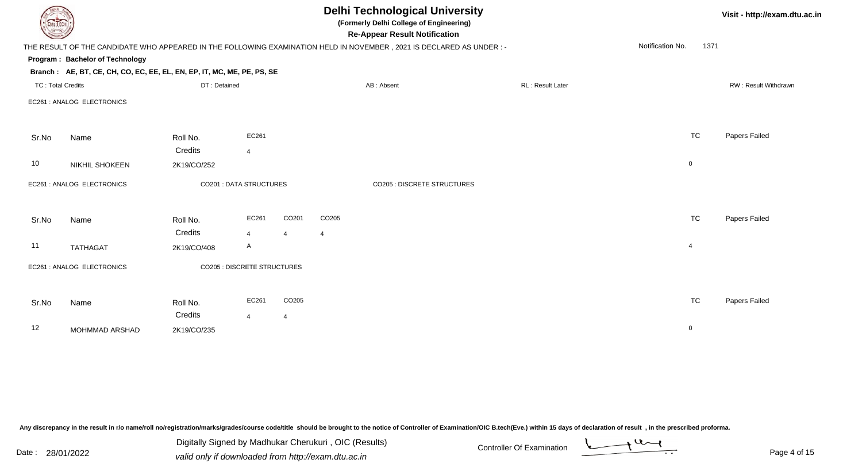| <b>Delhi Technological University</b><br>Visit - http://exam.dt<br>(Formerly Delhi College of Engineering)<br>DEL TECH<br><b>Re-Appear Result Notification</b> |                                                                        |              |                                    |                |       |                                                                                                                      |                  |  |                  |                |                      |
|----------------------------------------------------------------------------------------------------------------------------------------------------------------|------------------------------------------------------------------------|--------------|------------------------------------|----------------|-------|----------------------------------------------------------------------------------------------------------------------|------------------|--|------------------|----------------|----------------------|
|                                                                                                                                                                |                                                                        |              |                                    |                |       | THE RESULT OF THE CANDIDATE WHO APPEARED IN THE FOLLOWING EXAMINATION HELD IN NOVEMBER, 2021 IS DECLARED AS UNDER :- |                  |  | Notification No. | 1371           |                      |
|                                                                                                                                                                | Program: Bachelor of Technology                                        |              |                                    |                |       |                                                                                                                      |                  |  |                  |                |                      |
|                                                                                                                                                                | Branch: AE, BT, CE, CH, CO, EC, EE, EL, EN, EP, IT, MC, ME, PE, PS, SE |              |                                    |                |       |                                                                                                                      |                  |  |                  |                |                      |
| <b>TC: Total Credits</b>                                                                                                                                       |                                                                        | DT: Detained |                                    |                |       | AB: Absent                                                                                                           | RL: Result Later |  |                  |                | RW: Result Withdrawn |
|                                                                                                                                                                | EC261 : ANALOG ELECTRONICS                                             |              |                                    |                |       |                                                                                                                      |                  |  |                  |                |                      |
| Sr.No                                                                                                                                                          | Name                                                                   | Roll No.     | EC261                              |                |       |                                                                                                                      |                  |  |                  | <b>TC</b>      | Papers Failed        |
|                                                                                                                                                                |                                                                        | Credits      | $\overline{4}$                     |                |       |                                                                                                                      |                  |  |                  |                |                      |
| 10                                                                                                                                                             | <b>NIKHIL SHOKEEN</b>                                                  | 2K19/CO/252  |                                    |                |       |                                                                                                                      |                  |  |                  | $\mathbf 0$    |                      |
|                                                                                                                                                                | EC261 : ANALOG ELECTRONICS                                             |              | <b>CO201 : DATA STRUCTURES</b>     |                |       | <b>CO205: DISCRETE STRUCTURES</b>                                                                                    |                  |  |                  |                |                      |
| Sr.No                                                                                                                                                          | Name                                                                   | Roll No.     | EC261                              | CO201          | CO205 |                                                                                                                      |                  |  |                  | <b>TC</b>      | Papers Failed        |
|                                                                                                                                                                |                                                                        | Credits      | $\overline{4}$                     | $\overline{4}$ | 4     |                                                                                                                      |                  |  |                  |                |                      |
| 11                                                                                                                                                             | <b>TATHAGAT</b>                                                        | 2K19/CO/408  | $\mathsf{A}$                       |                |       |                                                                                                                      |                  |  |                  | $\overline{4}$ |                      |
|                                                                                                                                                                | EC261 : ANALOG ELECTRONICS                                             |              | <b>CO205 : DISCRETE STRUCTURES</b> |                |       |                                                                                                                      |                  |  |                  |                |                      |
| Sr.No                                                                                                                                                          | Name                                                                   | Roll No.     | EC261                              | CO205          |       |                                                                                                                      |                  |  |                  | <b>TC</b>      | Papers Failed        |
|                                                                                                                                                                |                                                                        | Credits      | $\overline{4}$                     | $\overline{4}$ |       |                                                                                                                      |                  |  |                  |                |                      |
| 12                                                                                                                                                             | <b>MOHMMAD ARSHAD</b>                                                  | 2K19/CO/235  |                                    |                |       |                                                                                                                      |                  |  |                  | 0              |                      |

Digitally Signed by Madhukar Cherukuri, OIC (Results)<br>Date : 28/01/2022 valid only if downloaded from http://oxam.dtu.ac.in Digitally Signed by Madhukar Cherukuri , OIC (Results)valid only if downloaded from http://exam.dtu.ac.in

t**u.ac.in**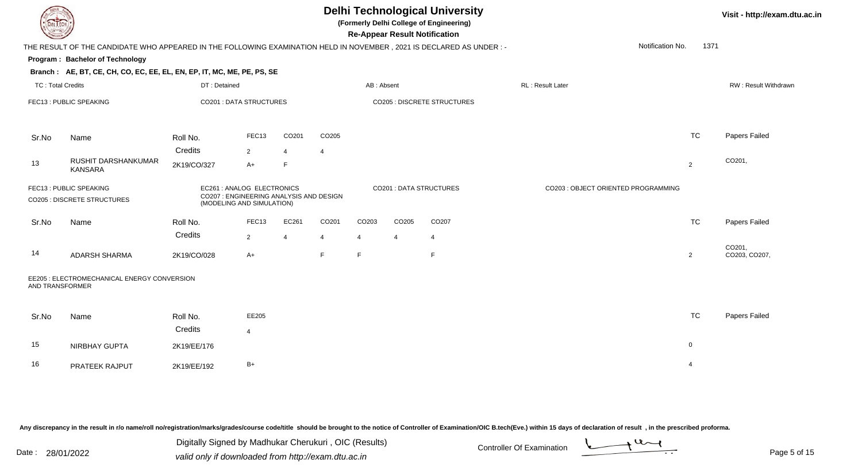| DEL ECH                                                                                                                                                      |                                                                                                                     |              |                         |                |                |                |                         | <b>Delhi Technological University</b><br>(Formerly Delhi College of Engineering)<br><b>Re-Appear Result Notification</b> |                  |                  |                       | Visit - http://exam.dtu.ac.in |
|--------------------------------------------------------------------------------------------------------------------------------------------------------------|---------------------------------------------------------------------------------------------------------------------|--------------|-------------------------|----------------|----------------|----------------|-------------------------|--------------------------------------------------------------------------------------------------------------------------|------------------|------------------|-----------------------|-------------------------------|
|                                                                                                                                                              | THE RESULT OF THE CANDIDATE WHO APPEARED IN THE FOLLOWING EXAMINATION HELD IN NOVEMBER, 2021 IS DECLARED AS UNDER:- |              |                         |                |                |                |                         |                                                                                                                          |                  | Notification No. | 1371                  |                               |
|                                                                                                                                                              | Program: Bachelor of Technology                                                                                     |              |                         |                |                |                |                         |                                                                                                                          |                  |                  |                       |                               |
|                                                                                                                                                              | Branch: AE, BT, CE, CH, CO, EC, EE, EL, EN, EP, IT, MC, ME, PE, PS, SE                                              |              |                         |                |                |                |                         |                                                                                                                          |                  |                  |                       |                               |
| <b>TC: Total Credits</b>                                                                                                                                     |                                                                                                                     | DT: Detained |                         |                |                | AB: Absent     |                         |                                                                                                                          | RL: Result Later |                  |                       | RW: Result Withdrawn          |
|                                                                                                                                                              | FEC13 : PUBLIC SPEAKING                                                                                             |              | CO201 : DATA STRUCTURES |                |                |                |                         | <b>CO205 : DISCRETE STRUCTURES</b>                                                                                       |                  |                  |                       |                               |
| Sr.No                                                                                                                                                        | Name                                                                                                                | Roll No.     | FEC13                   | CO201          | CO205          |                |                         |                                                                                                                          |                  |                  | <b>TC</b>             | Papers Failed                 |
|                                                                                                                                                              |                                                                                                                     | Credits      | $\overline{2}$          | $\overline{4}$ | 4              |                |                         |                                                                                                                          |                  |                  |                       |                               |
| 13                                                                                                                                                           | RUSHIT DARSHANKUMAR<br><b>KANSARA</b>                                                                               | 2K19/CO/327  | $A+$                    | F              |                |                |                         |                                                                                                                          |                  |                  | $\overline{2}$        | CO201,                        |
| FEC13 : PUBLIC SPEAKING<br>EC261 : ANALOG ELECTRONICS<br>CO207 : ENGINEERING ANALYSIS AND DESIGN<br>CO205 : DISCRETE STRUCTURES<br>(MODELING AND SIMULATION) |                                                                                                                     |              |                         |                |                |                | CO201 : DATA STRUCTURES | CO203 : OBJECT ORIENTED PROGRAMMING                                                                                      |                  |                  |                       |                               |
| Sr.No                                                                                                                                                        | Name                                                                                                                | Roll No.     | FEC13                   | EC261          | CO201          | CO203          | CO205                   | CO207                                                                                                                    |                  |                  | <b>TC</b>             | Papers Failed                 |
|                                                                                                                                                              |                                                                                                                     | Credits      | $\overline{2}$          | $\overline{4}$ | $\overline{4}$ | $\overline{4}$ | $\overline{4}$          | $\overline{4}$                                                                                                           |                  |                  |                       |                               |
| 14                                                                                                                                                           | <b>ADARSH SHARMA</b>                                                                                                | 2K19/CO/028  | $A+$                    |                | F.             | F              |                         | F                                                                                                                        |                  |                  | $\overline{2}$        | CO201,<br>CO203, CO207,       |
| AND TRANSFORMER                                                                                                                                              | EE205 : ELECTROMECHANICAL ENERGY CONVERSION                                                                         |              |                         |                |                |                |                         |                                                                                                                          |                  |                  |                       |                               |
| Sr.No                                                                                                                                                        | Name                                                                                                                | Roll No.     | EE205                   |                |                |                |                         |                                                                                                                          |                  |                  | <b>TC</b>             | Papers Failed                 |
|                                                                                                                                                              |                                                                                                                     | Credits      | $\overline{4}$          |                |                |                |                         |                                                                                                                          |                  |                  |                       |                               |
| 15                                                                                                                                                           | NIRBHAY GUPTA                                                                                                       | 2K19/EE/176  |                         |                |                |                |                         |                                                                                                                          |                  |                  | $\overline{0}$        |                               |
| 16                                                                                                                                                           | PRATEEK RAJPUT                                                                                                      | 2K19/EE/192  | $B+$                    |                |                |                |                         |                                                                                                                          |                  |                  | $\boldsymbol{\Delta}$ |                               |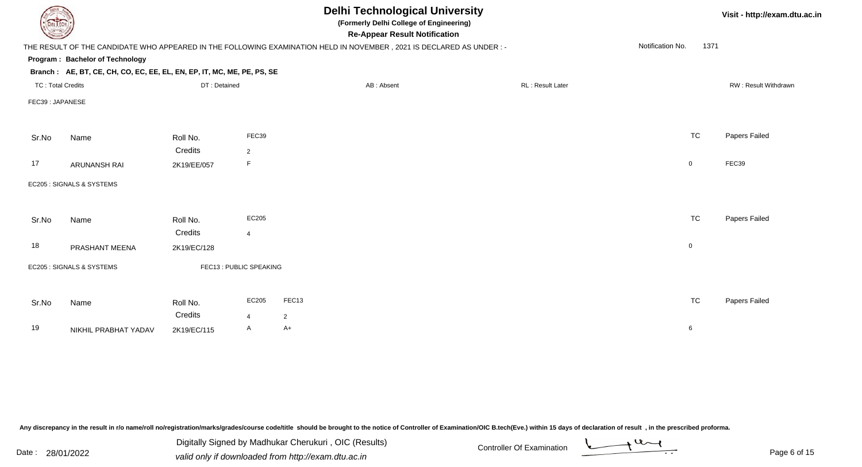| DEL ECH                  |                                                                                                                      |              |                        |                | <b>Delhi Technological University</b><br>Visit - http://exam.dtu.ac.in<br>(Formerly Delhi College of Engineering)<br><b>Re-Appear Result Notification</b> |  |  |                  |                  |             |                      |  |
|--------------------------|----------------------------------------------------------------------------------------------------------------------|--------------|------------------------|----------------|-----------------------------------------------------------------------------------------------------------------------------------------------------------|--|--|------------------|------------------|-------------|----------------------|--|
|                          | THE RESULT OF THE CANDIDATE WHO APPEARED IN THE FOLLOWING EXAMINATION HELD IN NOVEMBER, 2021 IS DECLARED AS UNDER :- |              |                        |                |                                                                                                                                                           |  |  |                  | Notification No. | 1371        |                      |  |
|                          | Program: Bachelor of Technology                                                                                      |              |                        |                |                                                                                                                                                           |  |  |                  |                  |             |                      |  |
|                          | Branch: AE, BT, CE, CH, CO, EC, EE, EL, EN, EP, IT, MC, ME, PE, PS, SE                                               |              |                        |                |                                                                                                                                                           |  |  |                  |                  |             |                      |  |
| <b>TC: Total Credits</b> |                                                                                                                      | DT: Detained |                        |                | AB: Absent                                                                                                                                                |  |  | RL: Result Later |                  |             | RW: Result Withdrawn |  |
| FEC39: JAPANESE          |                                                                                                                      |              |                        |                |                                                                                                                                                           |  |  |                  |                  |             |                      |  |
| Sr.No                    | Name                                                                                                                 | Roll No.     | FEC39                  |                |                                                                                                                                                           |  |  |                  |                  | <b>TC</b>   | Papers Failed        |  |
|                          |                                                                                                                      | Credits      | $\overline{2}$         |                |                                                                                                                                                           |  |  |                  |                  |             |                      |  |
| 17                       | <b>ARUNANSH RAI</b>                                                                                                  | 2K19/EE/057  | F.                     |                |                                                                                                                                                           |  |  |                  |                  | $\mathbf 0$ | FEC39                |  |
|                          | EC205 : SIGNALS & SYSTEMS                                                                                            |              |                        |                |                                                                                                                                                           |  |  |                  |                  |             |                      |  |
| Sr.No                    | Name                                                                                                                 | Roll No.     | EC205                  |                |                                                                                                                                                           |  |  |                  |                  | <b>TC</b>   | Papers Failed        |  |
|                          |                                                                                                                      | Credits      | $\overline{4}$         |                |                                                                                                                                                           |  |  |                  |                  |             |                      |  |
| 18                       | PRASHANT MEENA                                                                                                       | 2K19/EC/128  |                        |                |                                                                                                                                                           |  |  |                  |                  | $\mathbf 0$ |                      |  |
|                          | EC205 : SIGNALS & SYSTEMS                                                                                            |              | FEC13: PUBLIC SPEAKING |                |                                                                                                                                                           |  |  |                  |                  |             |                      |  |
| Sr.No                    | Name                                                                                                                 | Roll No.     | EC205                  | FEC13          |                                                                                                                                                           |  |  |                  |                  | <b>TC</b>   | Papers Failed        |  |
|                          |                                                                                                                      | Credits      | $\overline{4}$         | $\overline{2}$ |                                                                                                                                                           |  |  |                  |                  |             |                      |  |
| 19                       | NIKHIL PRABHAT YADAV                                                                                                 | 2K19/EC/115  | A                      | $A+$           |                                                                                                                                                           |  |  |                  |                  | 6           |                      |  |

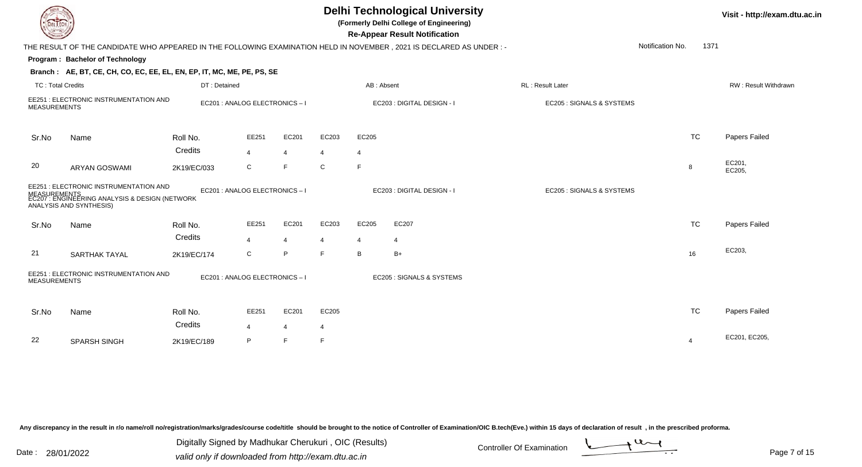**(Formerly Delhi College of Engineering)**

**Re-Appear Result Notification**

| <b>Course Lines</b>      |                                                                                                                                     |                                |                |                |                |                | Re-Appear Result Notification                                                                                          |                           |                  |                |                             |
|--------------------------|-------------------------------------------------------------------------------------------------------------------------------------|--------------------------------|----------------|----------------|----------------|----------------|------------------------------------------------------------------------------------------------------------------------|---------------------------|------------------|----------------|-----------------------------|
|                          |                                                                                                                                     |                                |                |                |                |                | THE RESULT OF THE CANDIDATE WHO APPEARED IN THE FOLLOWING EXAMINATION HELD IN NOVEMBER , 2021 IS DECLARED AS UNDER : - |                           | Notification No. | 1371           |                             |
|                          | Program: Bachelor of Technology                                                                                                     |                                |                |                |                |                |                                                                                                                        |                           |                  |                |                             |
|                          | Branch: AE, BT, CE, CH, CO, EC, EE, EL, EN, EP, IT, MC, ME, PE, PS, SE                                                              |                                |                |                |                |                |                                                                                                                        |                           |                  |                |                             |
| <b>TC: Total Credits</b> |                                                                                                                                     | DT: Detained                   |                |                |                | AB: Absent     |                                                                                                                        | RL: Result Later          |                  |                | <b>RW: Result Withdrawr</b> |
| <b>MEASUREMENTS</b>      | EE251 : ELECTRONIC INSTRUMENTATION AND                                                                                              | EC201 : ANALOG ELECTRONICS - I |                |                |                |                | EC203 : DIGITAL DESIGN - I                                                                                             | EC205 : SIGNALS & SYSTEMS |                  |                |                             |
| Sr.No                    | Name                                                                                                                                | Roll No.                       | EE251          | EC201          | EC203          | EC205          |                                                                                                                        |                           |                  | <b>TC</b>      | Papers Failed               |
|                          |                                                                                                                                     | Credits                        | $\overline{4}$ | 4              | 4              | $\overline{4}$ |                                                                                                                        |                           |                  |                |                             |
| 20                       | <b>ARYAN GOSWAMI</b>                                                                                                                | 2K19/EC/033                    | C              | E              | C              | F.             |                                                                                                                        |                           |                  | -8             | EC201,<br>EC205,            |
|                          | EE251 : ELECTRONIC INSTRUMENTATION AND<br>MEASUREMENTS<br>EC207 : ENGINEERING ANALYSIS & DESIGN (NETWORK<br>ANALYSIS AND SYNTHESIS) | EC201 : ANALOG ELECTRONICS - I |                |                |                |                | EC203 : DIGITAL DESIGN - I                                                                                             | EC205 : SIGNALS & SYSTEMS |                  |                |                             |
| Sr.No                    | Name                                                                                                                                | Roll No.                       | EE251          | EC201          | EC203          | EC205          | EC207                                                                                                                  |                           |                  | <b>TC</b>      | Papers Failed               |
|                          |                                                                                                                                     | Credits                        | $\overline{4}$ | $\overline{4}$ | $\overline{4}$ | $\overline{4}$ | $\overline{4}$                                                                                                         |                           |                  |                |                             |
| 21                       | <b>SARTHAK TAYAL</b>                                                                                                                | 2K19/EC/174                    | C              | P              | E              | B              | $B+$                                                                                                                   |                           |                  | 16             | EC203,                      |
| <b>MEASUREMENTS</b>      | EE251 : ELECTRONIC INSTRUMENTATION AND                                                                                              | EC201 : ANALOG ELECTRONICS-I   |                |                |                |                | EC205 : SIGNALS & SYSTEMS                                                                                              |                           |                  |                |                             |
| Sr.No                    | Name                                                                                                                                | Roll No.                       | EE251          | EC201          | EC205          |                |                                                                                                                        |                           |                  | <b>TC</b>      | Papers Failed               |
|                          |                                                                                                                                     | Credits                        | $\overline{4}$ | $\overline{4}$ | $\overline{4}$ |                |                                                                                                                        |                           |                  |                |                             |
| 22                       | SPARSH SINGH                                                                                                                        | 2K19/EC/189                    | P              | F              | F              |                |                                                                                                                        |                           |                  | $\overline{4}$ | EC201, EC205,               |
|                          |                                                                                                                                     |                                |                |                |                |                |                                                                                                                        |                           |                  |                |                             |

Any discrepancy in the result in r/o name/roll no/registration/marks/grades/course code/title should be brought to the notice of Controller of Examination/OIC B.tech(Eve.) within 15 days of declaration of result, in the pr

Date : 28/01/2022 Valid only if downloaded from http://exam.dtu.ac.in<br>
Date : 28/01/2022 valid only if downloaded from http://exam.dtu.ac.in Digitally Signed by Madhukar Cherukuri , OIC (Results)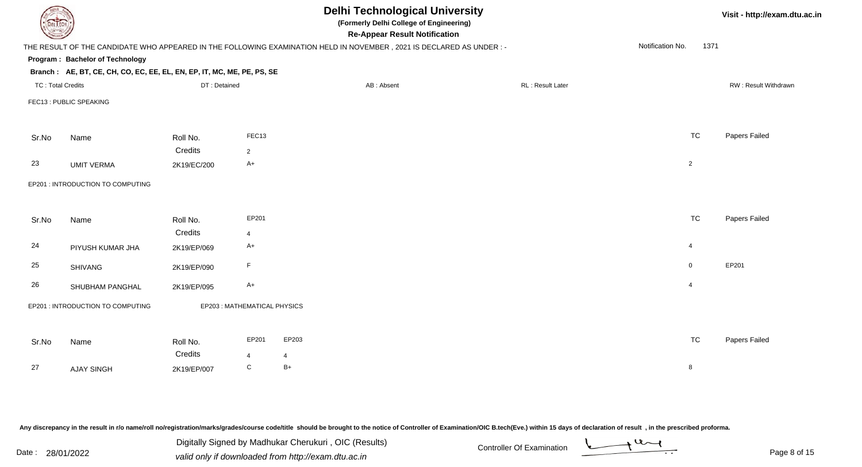| DEL TECH                 |                                                                        |              | <b>Delhi Technological University</b><br>(Formerly Delhi College of Engineering) |       | Visit - http://exam.dtu.ac.in                                                                                        |                  |                          |                      |
|--------------------------|------------------------------------------------------------------------|--------------|----------------------------------------------------------------------------------|-------|----------------------------------------------------------------------------------------------------------------------|------------------|--------------------------|----------------------|
|                          |                                                                        |              |                                                                                  |       | THE RESULT OF THE CANDIDATE WHO APPEARED IN THE FOLLOWING EXAMINATION HELD IN NOVEMBER, 2021 IS DECLARED AS UNDER :- |                  | Notification No.<br>1371 |                      |
|                          | Program: Bachelor of Technology                                        |              |                                                                                  |       |                                                                                                                      |                  |                          |                      |
|                          | Branch: AE, BT, CE, CH, CO, EC, EE, EL, EN, EP, IT, MC, ME, PE, PS, SE |              |                                                                                  |       |                                                                                                                      |                  |                          |                      |
| <b>TC: Total Credits</b> |                                                                        | DT: Detained |                                                                                  |       | AB: Absent                                                                                                           | RL: Result Later |                          | RW: Result Withdrawn |
|                          | FEC13 : PUBLIC SPEAKING                                                |              |                                                                                  |       |                                                                                                                      |                  |                          |                      |
| Sr.No                    | Name                                                                   | Roll No.     | FEC13                                                                            |       |                                                                                                                      |                  | <b>TC</b>                | Papers Failed        |
|                          |                                                                        | Credits      | $\overline{2}$                                                                   |       |                                                                                                                      |                  |                          |                      |
| 23                       | <b>UMIT VERMA</b>                                                      | 2K19/EC/200  | $A+$                                                                             |       |                                                                                                                      |                  | $\overline{2}$           |                      |
|                          | EP201 : INTRODUCTION TO COMPUTING                                      |              |                                                                                  |       |                                                                                                                      |                  |                          |                      |
| Sr.No                    | Name                                                                   | Roll No.     | EP201                                                                            |       |                                                                                                                      |                  | <b>TC</b>                | Papers Failed        |
|                          |                                                                        | Credits      | $\overline{4}$                                                                   |       |                                                                                                                      |                  |                          |                      |
| 24                       | PIYUSH KUMAR JHA                                                       | 2K19/EP/069  | $A+$                                                                             |       |                                                                                                                      |                  | $\overline{4}$           |                      |
| 25                       | <b>SHIVANG</b>                                                         | 2K19/EP/090  | F                                                                                |       |                                                                                                                      |                  | $\mathbf 0$              | EP201                |
| 26                       | SHUBHAM PANGHAL                                                        | 2K19/EP/095  | $A+$                                                                             |       |                                                                                                                      |                  | $\overline{4}$           |                      |
|                          | EP201 : INTRODUCTION TO COMPUTING                                      |              | EP203 : MATHEMATICAL PHYSICS                                                     |       |                                                                                                                      |                  |                          |                      |
| Sr.No                    | Name                                                                   | Roll No.     | EP201                                                                            | EP203 |                                                                                                                      |                  | <b>TC</b>                | Papers Failed        |
|                          |                                                                        | Credits      | $\overline{4}$                                                                   | 4     |                                                                                                                      |                  |                          |                      |
| 27                       | <b>AJAY SINGH</b>                                                      | 2K19/EP/007  | $\mathsf C$                                                                      | $B+$  |                                                                                                                      |                  | 8                        |                      |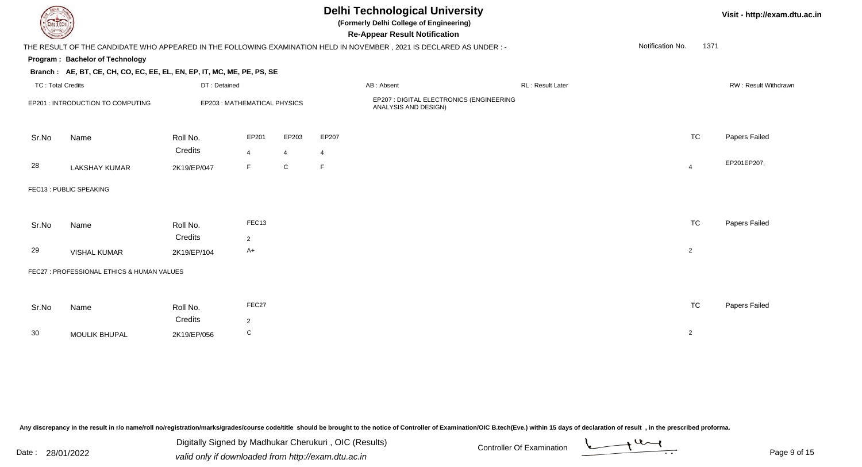|                                                                                                                                                  | <b>Delhi Technological University</b><br>Visit - http://exam.dtu.ac.in<br>(Formerly Delhi College of Engineering)<br>it I ECH<br><b>Re-Appear Result Notification</b> |                             |                         |                             |                                                                  |            |  |                         |  |                |                      |  |  |
|--------------------------------------------------------------------------------------------------------------------------------------------------|-----------------------------------------------------------------------------------------------------------------------------------------------------------------------|-----------------------------|-------------------------|-----------------------------|------------------------------------------------------------------|------------|--|-------------------------|--|----------------|----------------------|--|--|
| Notification No.<br>1371<br>THE RESULT OF THE CANDIDATE WHO APPEARED IN THE FOLLOWING EXAMINATION HELD IN NOVEMBER, 2021 IS DECLARED AS UNDER :- |                                                                                                                                                                       |                             |                         |                             |                                                                  |            |  |                         |  |                |                      |  |  |
|                                                                                                                                                  | Program: Bachelor of Technology                                                                                                                                       |                             |                         |                             |                                                                  |            |  |                         |  |                |                      |  |  |
|                                                                                                                                                  | Branch: AE, BT, CE, CH, CO, EC, EE, EL, EN, EP, IT, MC, ME, PE, PS, SE                                                                                                |                             |                         |                             |                                                                  |            |  |                         |  |                |                      |  |  |
| <b>TC: Total Credits</b>                                                                                                                         |                                                                                                                                                                       | DT: Detained                |                         |                             |                                                                  | AB: Absent |  | <b>RL: Result Later</b> |  |                | RW: Result Withdrawn |  |  |
| EP201 : INTRODUCTION TO COMPUTING                                                                                                                |                                                                                                                                                                       | EP203: MATHEMATICAL PHYSICS |                         |                             | EP207 : DIGITAL ELECTRONICS (ENGINEERING<br>ANALYSIS AND DESIGN) |            |  |                         |  |                |                      |  |  |
| Sr.No                                                                                                                                            | Name                                                                                                                                                                  | Roll No.<br>Credits         | EP201                   | EP203                       | EP207                                                            |            |  |                         |  | <b>TC</b>      | Papers Failed        |  |  |
| 28                                                                                                                                               | <b>LAKSHAY KUMAR</b>                                                                                                                                                  | 2K19/EP/047                 | $\overline{4}$<br>F.    | $\overline{4}$<br>${\bf C}$ | 4<br>F                                                           |            |  |                         |  | $\overline{4}$ | EP201EP207,          |  |  |
|                                                                                                                                                  | FEC13 : PUBLIC SPEAKING                                                                                                                                               |                             |                         |                             |                                                                  |            |  |                         |  |                |                      |  |  |
| Sr.No                                                                                                                                            | Name                                                                                                                                                                  | Roll No.<br>Credits         | FEC13<br>$\overline{2}$ |                             |                                                                  |            |  |                         |  | <b>TC</b>      | Papers Failed        |  |  |
| 29                                                                                                                                               | <b>VISHAL KUMAR</b>                                                                                                                                                   | 2K19/EP/104                 | A+                      |                             |                                                                  |            |  |                         |  | $\overline{2}$ |                      |  |  |
|                                                                                                                                                  | FEC27 : PROFESSIONAL ETHICS & HUMAN VALUES                                                                                                                            |                             |                         |                             |                                                                  |            |  |                         |  |                |                      |  |  |
|                                                                                                                                                  |                                                                                                                                                                       |                             |                         |                             |                                                                  |            |  |                         |  |                |                      |  |  |
| Sr.No                                                                                                                                            | Name                                                                                                                                                                  | Roll No.                    | FEC27                   |                             |                                                                  |            |  |                         |  | <b>TC</b>      | Papers Failed        |  |  |
|                                                                                                                                                  |                                                                                                                                                                       | Credits                     | $\overline{2}$          |                             |                                                                  |            |  |                         |  |                |                      |  |  |
| 30                                                                                                                                               | MOULIK BHUPAL                                                                                                                                                         | 2K19/EP/056                 | ${\bf C}$               |                             |                                                                  |            |  |                         |  | $\sqrt{2}$     |                      |  |  |
|                                                                                                                                                  |                                                                                                                                                                       |                             |                         |                             |                                                                  |            |  |                         |  |                |                      |  |  |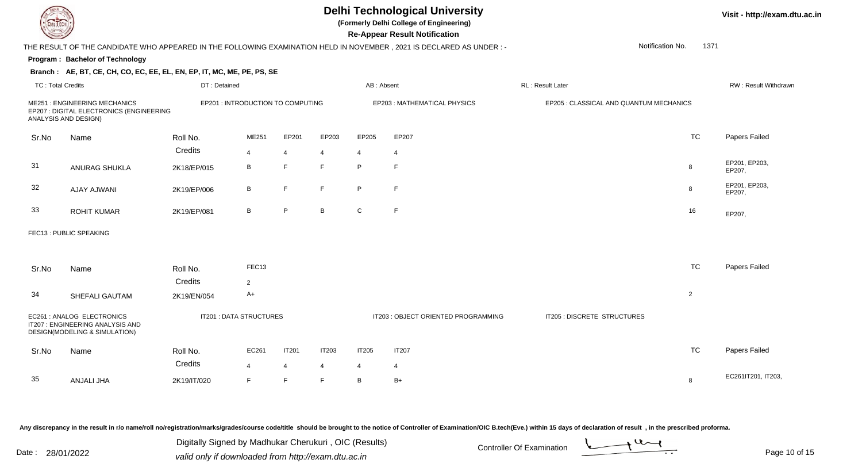

**(Formerly Delhi College of Engineering)**

**Visit - http://exam.dtu.ac.in**

|                          |                                                                                                         |                                  |                |                |                |                | <b>Re-Appear Result Notification</b>                                                                                 |                                         |                          |                         |
|--------------------------|---------------------------------------------------------------------------------------------------------|----------------------------------|----------------|----------------|----------------|----------------|----------------------------------------------------------------------------------------------------------------------|-----------------------------------------|--------------------------|-------------------------|
|                          |                                                                                                         |                                  |                |                |                |                | THE RESULT OF THE CANDIDATE WHO APPEARED IN THE FOLLOWING EXAMINATION HELD IN NOVEMBER, 2021 IS DECLARED AS UNDER :- |                                         | 1371<br>Notification No. |                         |
|                          | Program: Bachelor of Technology                                                                         |                                  |                |                |                |                |                                                                                                                      |                                         |                          |                         |
|                          | Branch: AE, BT, CE, CH, CO, EC, EE, EL, EN, EP, IT, MC, ME, PE, PS, SE                                  |                                  |                |                |                |                |                                                                                                                      |                                         |                          |                         |
| <b>TC: Total Credits</b> |                                                                                                         | DT: Detained                     |                |                |                | AB: Absent     |                                                                                                                      | RL: Result Later                        |                          | RW: Result Withdrawr    |
|                          | <b>ME251: ENGINEERING MECHANICS</b><br>EP207 : DIGITAL ELECTRONICS (ENGINEERING<br>ANALYSIS AND DESIGN) | EP201: INTRODUCTION TO COMPUTING |                |                |                |                | EP203: MATHEMATICAL PHYSICS                                                                                          | EP205 : CLASSICAL AND QUANTUM MECHANICS |                          |                         |
| Sr.No                    | Name                                                                                                    | Roll No.                         | ME251          | EP201          | EP203          | EP205          | EP207                                                                                                                |                                         | <b>TC</b>                | Papers Failed           |
|                          |                                                                                                         | Credits                          | $\overline{4}$ | $\overline{4}$ | $\overline{4}$ | $\overline{4}$ | 4                                                                                                                    |                                         |                          |                         |
| 31                       | ANURAG SHUKLA                                                                                           | 2K18/EP/015                      | B              | $\mathsf{F}$   | F.             | P              | $\mathsf F$                                                                                                          |                                         | 8                        | EP201, EP203,<br>EP207, |
| 32                       | <b>AJAY AJWANI</b>                                                                                      | 2K19/EP/006                      | B              | F              | F.             | P              | F                                                                                                                    |                                         | 8                        | EP201, EP203,<br>EP207, |
| 33                       | <b>ROHIT KUMAR</b>                                                                                      | 2K19/EP/081                      | B              | P              | B              | ${\bf C}$      | F                                                                                                                    |                                         | 16                       | EP207,                  |
|                          | FEC13: PUBLIC SPEAKING                                                                                  |                                  |                |                |                |                |                                                                                                                      |                                         |                          |                         |
| Sr.No                    | Name                                                                                                    | Roll No.                         | FEC13          |                |                |                |                                                                                                                      |                                         | <b>TC</b>                | Papers Failed           |
|                          |                                                                                                         | Credits                          | $\overline{2}$ |                |                |                |                                                                                                                      |                                         |                          |                         |
| 34                       | SHEFALI GAUTAM                                                                                          | 2K19/EN/054                      | A+             |                |                |                |                                                                                                                      |                                         | $\overline{2}$           |                         |
|                          | EC261 : ANALOG ELECTRONICS<br>IT207 : ENGINEERING ANALYSIS AND<br>DESIGN(MODELING & SIMULATION)         | IT201 : DATA STRUCTURES          |                |                |                |                | IT203: OBJECT ORIENTED PROGRAMMING                                                                                   | IT205 : DISCRETE STRUCTURES             |                          |                         |
| Sr.No                    | Name                                                                                                    | Roll No.                         | EC261          | <b>IT201</b>   | <b>IT203</b>   | <b>IT205</b>   | <b>IT207</b>                                                                                                         |                                         | <b>TC</b>                | Papers Failed           |
|                          |                                                                                                         | Credits                          | $\overline{4}$ | 4              | 4              | $\overline{4}$ | 4                                                                                                                    |                                         |                          |                         |
| 35                       | ANJALI JHA                                                                                              | 2K19/IT/020                      | F              | F              | F              | B              | $B+$                                                                                                                 |                                         | 8                        | EC261IT201, IT203,      |
|                          |                                                                                                         |                                  |                |                |                |                |                                                                                                                      |                                         |                          |                         |

Any discrepancy in the result in r/o name/roll no/registration/marks/grades/course code/title should be brought to the notice of Controller of Examination/OIC B.tech(Eve.) within 15 days of declaration of result, in the pr

Date : 28/01/2022 Valid only if downloaded from http://exam.dtu.ac.in<br>
Date : 28/01/2022 valid only if downloaded from http://exam.dtu.ac.in Digitally Signed by Madhukar Cherukuri , OIC (Results)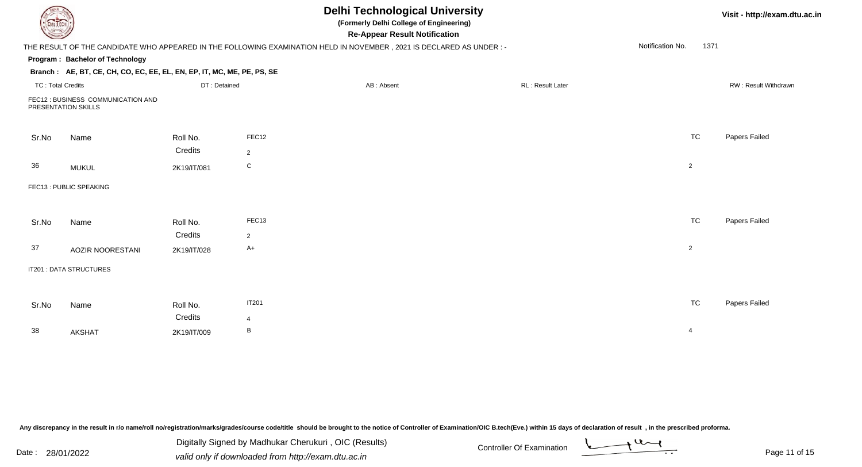|                          | <b>Delhi Technological University</b><br>Visit - http://exam.dtu.ac.in<br>(Formerly Delhi College of Engineering)<br>EL ECH<br><b>Re-Appear Result Notification</b> |              |                |                                                                                                                      |                  |                  |           |                      |  |  |  |
|--------------------------|---------------------------------------------------------------------------------------------------------------------------------------------------------------------|--------------|----------------|----------------------------------------------------------------------------------------------------------------------|------------------|------------------|-----------|----------------------|--|--|--|
|                          |                                                                                                                                                                     |              |                | THE RESULT OF THE CANDIDATE WHO APPEARED IN THE FOLLOWING EXAMINATION HELD IN NOVEMBER, 2021 IS DECLARED AS UNDER :- |                  | Notification No. | 1371      |                      |  |  |  |
|                          | Program: Bachelor of Technology                                                                                                                                     |              |                |                                                                                                                      |                  |                  |           |                      |  |  |  |
|                          | Branch: AE, BT, CE, CH, CO, EC, EE, EL, EN, EP, IT, MC, ME, PE, PS, SE                                                                                              |              |                |                                                                                                                      |                  |                  |           |                      |  |  |  |
| <b>TC: Total Credits</b> |                                                                                                                                                                     | DT: Detained |                | AB: Absent                                                                                                           | RL: Result Later |                  |           | RW: Result Withdrawn |  |  |  |
|                          | FEC12 : BUSINESS COMMUNICATION AND<br>PRESENTATION SKILLS                                                                                                           |              |                |                                                                                                                      |                  |                  |           |                      |  |  |  |
| Sr.No                    | Name                                                                                                                                                                | Roll No.     | FEC12          |                                                                                                                      |                  |                  | <b>TC</b> | Papers Failed        |  |  |  |
|                          |                                                                                                                                                                     | Credits      | $\overline{2}$ |                                                                                                                      |                  |                  |           |                      |  |  |  |
| 36                       | <b>MUKUL</b>                                                                                                                                                        | 2K19/IT/081  | ${\bf C}$      |                                                                                                                      |                  | $\overline{2}$   |           |                      |  |  |  |
|                          | FEC13 : PUBLIC SPEAKING                                                                                                                                             |              |                |                                                                                                                      |                  |                  |           |                      |  |  |  |
| Sr.No                    | Name                                                                                                                                                                | Roll No.     | FEC13          |                                                                                                                      |                  |                  | <b>TC</b> | Papers Failed        |  |  |  |
|                          |                                                                                                                                                                     | Credits      | $\overline{2}$ |                                                                                                                      |                  |                  |           |                      |  |  |  |
| 37                       | AOZIR NOORESTANI                                                                                                                                                    | 2K19/IT/028  | $A+$           |                                                                                                                      |                  | $\overline{2}$   |           |                      |  |  |  |
|                          | <b>IT201 : DATA STRUCTURES</b>                                                                                                                                      |              |                |                                                                                                                      |                  |                  |           |                      |  |  |  |
|                          |                                                                                                                                                                     |              |                |                                                                                                                      |                  |                  |           |                      |  |  |  |
| Sr.No                    | Name                                                                                                                                                                | Roll No.     | <b>IT201</b>   |                                                                                                                      |                  |                  | <b>TC</b> | Papers Failed        |  |  |  |
|                          |                                                                                                                                                                     | Credits      | $\overline{4}$ |                                                                                                                      |                  |                  |           |                      |  |  |  |
| 38                       | <b>AKSHAT</b>                                                                                                                                                       | 2K19/IT/009  | B              |                                                                                                                      |                  | $\overline{4}$   |           |                      |  |  |  |
|                          |                                                                                                                                                                     |              |                |                                                                                                                      |                  |                  |           |                      |  |  |  |

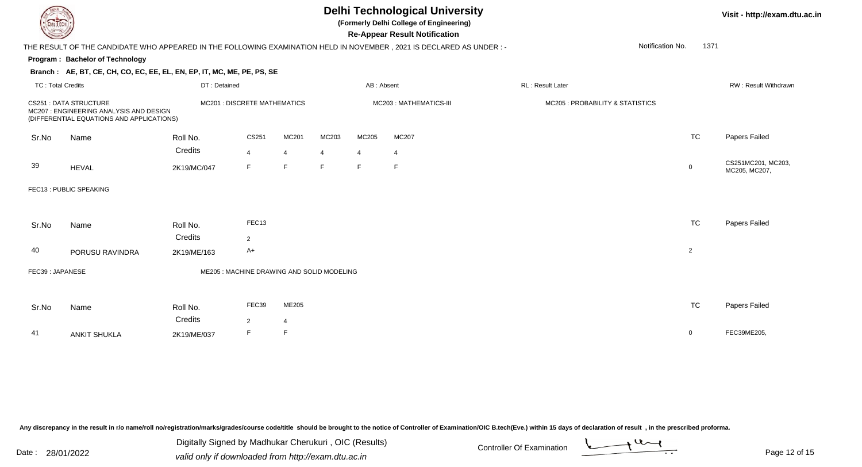

**(Formerly Delhi College of Engineering)**

**Visit - http://exam.dtu.ac.in**

| <b>Concrete Of</b>       |                                                                                                                       |              |                                            |                |       |            | <b>Re-Appear Result Notification</b>                                                                                 |                                  |                  |                |                                     |
|--------------------------|-----------------------------------------------------------------------------------------------------------------------|--------------|--------------------------------------------|----------------|-------|------------|----------------------------------------------------------------------------------------------------------------------|----------------------------------|------------------|----------------|-------------------------------------|
|                          |                                                                                                                       |              |                                            |                |       |            | THE RESULT OF THE CANDIDATE WHO APPEARED IN THE FOLLOWING EXAMINATION HELD IN NOVEMBER, 2021 IS DECLARED AS UNDER :- |                                  | Notification No. | 1371           |                                     |
|                          | Program: Bachelor of Technology                                                                                       |              |                                            |                |       |            |                                                                                                                      |                                  |                  |                |                                     |
|                          | Branch: AE, BT, CE, CH, CO, EC, EE, EL, EN, EP, IT, MC, ME, PE, PS, SE                                                |              |                                            |                |       |            |                                                                                                                      |                                  |                  |                |                                     |
| <b>TC: Total Credits</b> |                                                                                                                       | DT: Detained |                                            |                |       | AB: Absent |                                                                                                                      | RL : Result Later                |                  |                | <b>RW: Result Withdrawn</b>         |
|                          | <b>CS251 : DATA STRUCTURE</b><br>MC207 : ENGINEERING ANALYSIS AND DESIGN<br>(DIFFERENTIAL EQUATIONS AND APPLICATIONS) |              | <b>MC201 : DISCRETE MATHEMATICS</b>        |                |       |            | MC203: MATHEMATICS-III                                                                                               | MC205 : PROBABILITY & STATISTICS |                  |                |                                     |
| Sr.No                    | Name                                                                                                                  | Roll No.     | CS251                                      | MC201          | MC203 | MC205      | MC207                                                                                                                |                                  |                  | TC             | Papers Failed                       |
|                          |                                                                                                                       | Credits      | $\overline{4}$                             | $\overline{4}$ | 4     | 4          | 4                                                                                                                    |                                  |                  |                |                                     |
| 39                       | <b>HEVAL</b>                                                                                                          | 2K19/MC/047  | F                                          | E              | E     | F.         | F.                                                                                                                   |                                  |                  | $\overline{0}$ | CS251MC201, MC203,<br>MC205, MC207, |
|                          | FEC13 : PUBLIC SPEAKING                                                                                               |              |                                            |                |       |            |                                                                                                                      |                                  |                  |                |                                     |
|                          |                                                                                                                       |              |                                            |                |       |            |                                                                                                                      |                                  |                  |                |                                     |
| Sr.No                    | Name                                                                                                                  | Roll No.     | FEC13                                      |                |       |            |                                                                                                                      |                                  |                  | <b>TC</b>      | Papers Failed                       |
|                          |                                                                                                                       | Credits      | 2                                          |                |       |            |                                                                                                                      |                                  |                  |                |                                     |
| 40                       | PORUSU RAVINDRA                                                                                                       | 2K19/ME/163  | A+                                         |                |       |            |                                                                                                                      |                                  |                  | $\overline{c}$ |                                     |
| FEC39: JAPANESE          |                                                                                                                       |              | ME205 : MACHINE DRAWING AND SOLID MODELING |                |       |            |                                                                                                                      |                                  |                  |                |                                     |
|                          |                                                                                                                       |              |                                            |                |       |            |                                                                                                                      |                                  |                  |                |                                     |
| Sr.No                    | Name                                                                                                                  | Roll No.     | FEC39                                      | ME205          |       |            |                                                                                                                      |                                  |                  | <b>TC</b>      | Papers Failed                       |
|                          |                                                                                                                       | Credits      | 2                                          | 4              |       |            |                                                                                                                      |                                  |                  |                |                                     |
| 41                       | <b>ANKIT SHUKLA</b>                                                                                                   | 2K19/ME/037  | F                                          | F              |       |            |                                                                                                                      |                                  |                  | $\mathbf 0$    | FEC39ME205,                         |
|                          |                                                                                                                       |              |                                            |                |       |            |                                                                                                                      |                                  |                  |                |                                     |

Any discrepancy in the result in r/o name/roll no/registration/marks/grades/course code/title should be brought to the notice of Controller of Examination/OIC B.tech(Eve.) within 15 days of declaration of result, in the pr

Date : 28/01/2022 Valid only if downloaded from http://exam.dtu.ac.in<br>
Date : 28/01/2022 valid only if downloaded from http://exam.dtu.ac.in Digitally Signed by Madhukar Cherukuri , OIC (Results)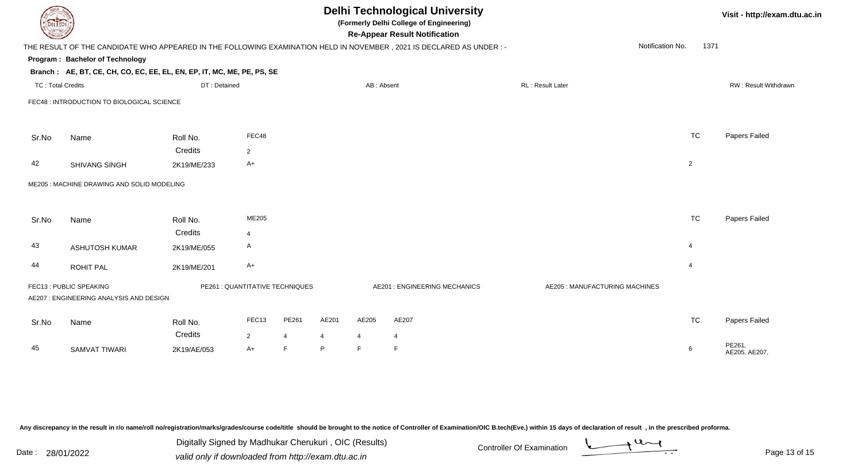| EL ECH                                                                                                                                           |                                                                        |                        |                                 |                      |         |                                | <b>Delhi Technological University</b><br>(Formerly Delhi College of Engineering)<br><b>Re-Appear Result Notification</b> |                                |                |           | Visit - http://exam.dtu.ac.in |  |
|--------------------------------------------------------------------------------------------------------------------------------------------------|------------------------------------------------------------------------|------------------------|---------------------------------|----------------------|---------|--------------------------------|--------------------------------------------------------------------------------------------------------------------------|--------------------------------|----------------|-----------|-------------------------------|--|
| Notification No.<br>1371<br>THE RESULT OF THE CANDIDATE WHO APPEARED IN THE FOLLOWING EXAMINATION HELD IN NOVEMBER, 2021 IS DECLARED AS UNDER :- |                                                                        |                        |                                 |                      |         |                                |                                                                                                                          |                                |                |           |                               |  |
|                                                                                                                                                  | <b>Program: Bachelor of Technology</b>                                 |                        |                                 |                      |         |                                |                                                                                                                          |                                |                |           |                               |  |
|                                                                                                                                                  | Branch: AE, BT, CE, CH, CO, EC, EE, EL, EN, EP, IT, MC, ME, PE, PS, SE |                        |                                 |                      |         |                                |                                                                                                                          |                                |                |           |                               |  |
| <b>TC: Total Credits</b>                                                                                                                         |                                                                        | DT: Detained           |                                 |                      |         | AB: Absent                     |                                                                                                                          | RL: Result Later               |                |           | RW: Result Withdrawn          |  |
|                                                                                                                                                  | FEC48 : INTRODUCTION TO BIOLOGICAL SCIENCE                             |                        |                                 |                      |         |                                |                                                                                                                          |                                |                |           |                               |  |
| Sr.No                                                                                                                                            | Name                                                                   | Roll No.               | FEC48                           |                      |         |                                |                                                                                                                          |                                |                | <b>TC</b> | Papers Failed                 |  |
|                                                                                                                                                  |                                                                        | Credits                | $\overline{2}$                  |                      |         |                                |                                                                                                                          |                                |                |           |                               |  |
| 42                                                                                                                                               | SHIVANG SINGH                                                          | 2K19/ME/233            | $A+$                            |                      |         |                                |                                                                                                                          |                                | $\overline{2}$ |           |                               |  |
|                                                                                                                                                  | ME205 : MACHINE DRAWING AND SOLID MODELING                             |                        |                                 |                      |         |                                |                                                                                                                          |                                |                |           |                               |  |
| Sr.No                                                                                                                                            | Name                                                                   | Roll No.               | ME205                           |                      |         |                                |                                                                                                                          |                                |                | <b>TC</b> | Papers Failed                 |  |
|                                                                                                                                                  |                                                                        | Credits                | $\overline{4}$                  |                      |         |                                |                                                                                                                          |                                |                |           |                               |  |
| 43                                                                                                                                               | <b>ASHUTOSH KUMAR</b>                                                  | 2K19/ME/055            | A                               |                      |         |                                |                                                                                                                          |                                | $\overline{4}$ |           |                               |  |
| 44                                                                                                                                               | <b>ROHIT PAL</b>                                                       | 2K19/ME/201            | $A+$                            |                      |         |                                |                                                                                                                          |                                | $\overline{4}$ |           |                               |  |
|                                                                                                                                                  | FEC13 : PUBLIC SPEAKING<br>AE207 : ENGINEERING ANALYSIS AND DESIGN     |                        | PE261 : QUANTITATIVE TECHNIQUES |                      |         |                                | AE201 : ENGINEERING MECHANICS                                                                                            | AE205 : MANUFACTURING MACHINES |                |           |                               |  |
| Sr.No                                                                                                                                            | Name                                                                   | Roll No.               | FEC13                           | PE261                | AE201   | AE205                          | AE207                                                                                                                    |                                |                | <b>TC</b> | Papers Failed                 |  |
| 45                                                                                                                                               | <b>SAMVAT TIWARI</b>                                                   | Credits<br>2K19/AE/053 | $\overline{2}$<br>$A+$          | $\overline{4}$<br>F. | 4<br>P. | $\overline{4}$<br>$\mathsf{F}$ | 4                                                                                                                        |                                | 6              |           | PE261,<br>AE205, AE207,       |  |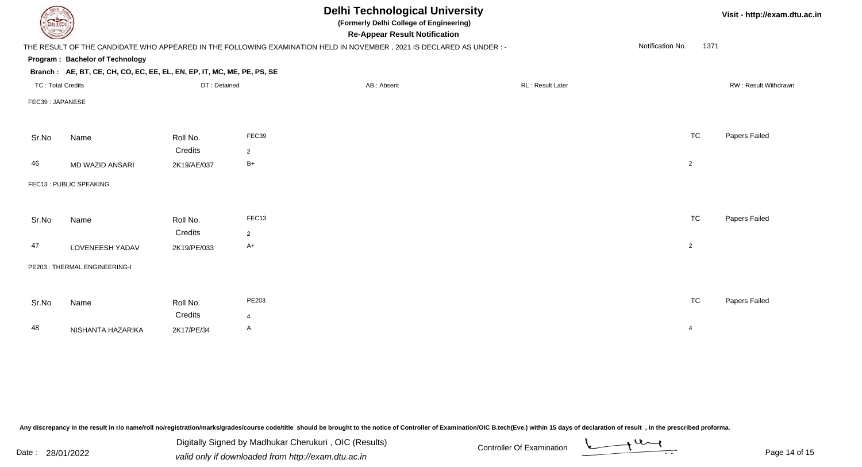| DEL ECH                  |                                                                        |              |                | <b>Delhi Technological University</b><br>(Formerly Delhi College of Engineering)<br><b>Re-Appear Result Notification</b> |                  | Visit - http://exam.dtu.ac.in |                      |
|--------------------------|------------------------------------------------------------------------|--------------|----------------|--------------------------------------------------------------------------------------------------------------------------|------------------|-------------------------------|----------------------|
|                          |                                                                        |              |                | THE RESULT OF THE CANDIDATE WHO APPEARED IN THE FOLLOWING EXAMINATION HELD IN NOVEMBER, 2021 IS DECLARED AS UNDER :-     |                  | Notification No.<br>1371      |                      |
|                          | Program: Bachelor of Technology                                        |              |                |                                                                                                                          |                  |                               |                      |
|                          | Branch: AE, BT, CE, CH, CO, EC, EE, EL, EN, EP, IT, MC, ME, PE, PS, SE |              |                |                                                                                                                          |                  |                               |                      |
| <b>TC: Total Credits</b> |                                                                        | DT: Detained |                | AB: Absent                                                                                                               | RL: Result Later |                               | RW: Result Withdrawn |
| FEC39: JAPANESE          |                                                                        |              |                |                                                                                                                          |                  |                               |                      |
|                          |                                                                        |              |                |                                                                                                                          |                  |                               |                      |
| Sr.No                    | Name                                                                   | Roll No.     | FEC39          |                                                                                                                          |                  | <b>TC</b>                     | Papers Failed        |
|                          |                                                                        | Credits      | 2              |                                                                                                                          |                  |                               |                      |
| 46                       | MD WAZID ANSARI                                                        | 2K19/AE/037  | $B+$           |                                                                                                                          |                  | $\overline{2}$                |                      |
|                          | FEC13: PUBLIC SPEAKING                                                 |              |                |                                                                                                                          |                  |                               |                      |
|                          |                                                                        |              |                |                                                                                                                          |                  |                               |                      |
| Sr.No                    | Name                                                                   | Roll No.     | FEC13          |                                                                                                                          |                  | <b>TC</b>                     | Papers Failed        |
|                          |                                                                        | Credits      | $\overline{2}$ |                                                                                                                          |                  |                               |                      |
| 47                       | LOVENEESH YADAV                                                        | 2K19/PE/033  | $A+$           |                                                                                                                          |                  | $\overline{2}$                |                      |
|                          | PE203: THERMAL ENGINEERING-I                                           |              |                |                                                                                                                          |                  |                               |                      |
|                          |                                                                        |              |                |                                                                                                                          |                  |                               |                      |
| Sr.No                    | Name                                                                   | Roll No.     | PE203          |                                                                                                                          |                  | <b>TC</b>                     | Papers Failed        |
|                          |                                                                        | Credits      | $\overline{4}$ |                                                                                                                          |                  |                               |                      |
| 48                       | NISHANTA HAZARIKA                                                      | 2K17/PE/34   | A              |                                                                                                                          |                  | $\overline{4}$                |                      |
|                          |                                                                        |              |                |                                                                                                                          |                  |                               |                      |